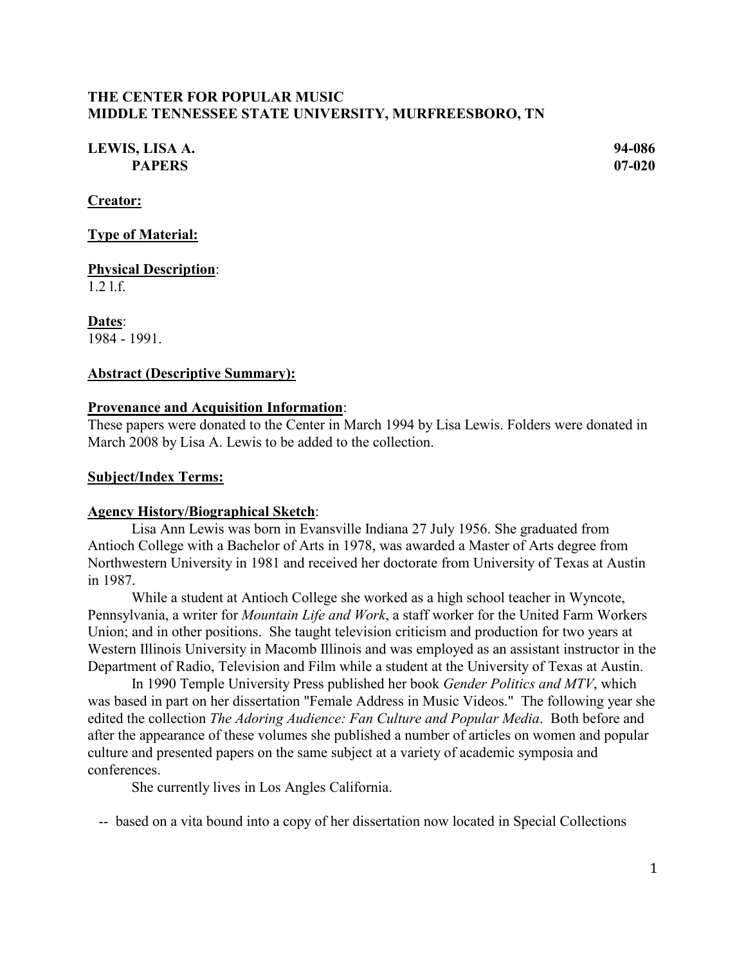## **THE CENTER FOR POPULAR MUSIC MIDDLE TENNESSEE STATE UNIVERSITY, MURFREESBORO, TN**

# **LEWIS, LISA A. 94-086 PAPERS 07-020**

**Creator:**

**Type of Material:**

**Physical Description**: 1.2 l.f.

**Dates**: 1984 - 1991.

### **Abstract (Descriptive Summary):**

#### **Provenance and Acquisition Information**:

These papers were donated to the Center in March 1994 by Lisa Lewis. Folders were donated in March 2008 by Lisa A. Lewis to be added to the collection.

#### **Subject/Index Terms:**

#### **Agency History/Biographical Sketch**:

Lisa Ann Lewis was born in Evansville Indiana 27 July 1956. She graduated from Antioch College with a Bachelor of Arts in 1978, was awarded a Master of Arts degree from Northwestern University in 1981 and received her doctorate from University of Texas at Austin in 1987.

While a student at Antioch College she worked as a high school teacher in Wyncote, Pennsylvania, a writer for *Mountain Life and Work*, a staff worker for the United Farm Workers Union; and in other positions. She taught television criticism and production for two years at Western Illinois University in Macomb Illinois and was employed as an assistant instructor in the Department of Radio, Television and Film while a student at the University of Texas at Austin.

In 1990 Temple University Press published her book *Gender Politics and MTV*, which was based in part on her dissertation "Female Address in Music Videos." The following year she edited the collection *The Adoring Audience: Fan Culture and Popular Media*. Both before and after the appearance of these volumes she published a number of articles on women and popular culture and presented papers on the same subject at a variety of academic symposia and conferences.

She currently lives in Los Angles California.

-- based on a vita bound into a copy of her dissertation now located in Special Collections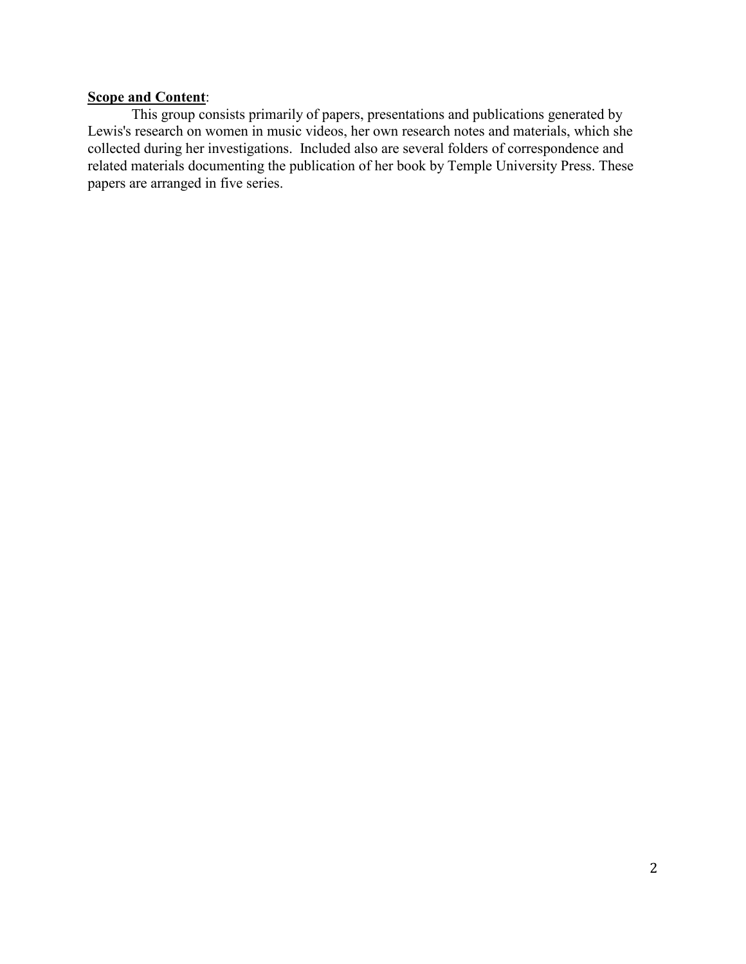# **Scope and Content**:

This group consists primarily of papers, presentations and publications generated by Lewis's research on women in music videos, her own research notes and materials, which she collected during her investigations. Included also are several folders of correspondence and related materials documenting the publication of her book by Temple University Press. These papers are arranged in five series.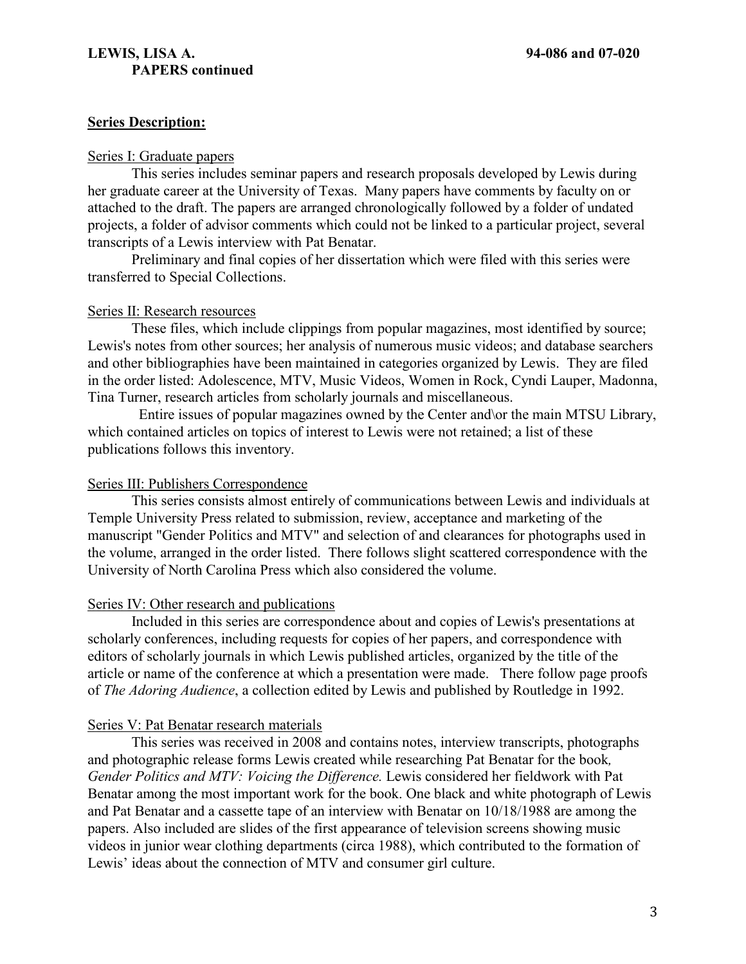## **LEWIS, LISA A. 94-086 and 07-020 PAPERS continued**

### **Series Description:**

#### Series I: Graduate papers

This series includes seminar papers and research proposals developed by Lewis during her graduate career at the University of Texas. Many papers have comments by faculty on or attached to the draft. The papers are arranged chronologically followed by a folder of undated projects, a folder of advisor comments which could not be linked to a particular project, several transcripts of a Lewis interview with Pat Benatar.

Preliminary and final copies of her dissertation which were filed with this series were transferred to Special Collections.

#### Series II: Research resources

These files, which include clippings from popular magazines, most identified by source; Lewis's notes from other sources; her analysis of numerous music videos; and database searchers and other bibliographies have been maintained in categories organized by Lewis. They are filed in the order listed: Adolescence, MTV, Music Videos, Women in Rock, Cyndi Lauper, Madonna, Tina Turner, research articles from scholarly journals and miscellaneous.

 Entire issues of popular magazines owned by the Center and\or the main MTSU Library, which contained articles on topics of interest to Lewis were not retained; a list of these publications follows this inventory.

#### Series III: Publishers Correspondence

This series consists almost entirely of communications between Lewis and individuals at Temple University Press related to submission, review, acceptance and marketing of the manuscript "Gender Politics and MTV" and selection of and clearances for photographs used in the volume, arranged in the order listed. There follows slight scattered correspondence with the University of North Carolina Press which also considered the volume.

### Series IV: Other research and publications

Included in this series are correspondence about and copies of Lewis's presentations at scholarly conferences, including requests for copies of her papers, and correspondence with editors of scholarly journals in which Lewis published articles, organized by the title of the article or name of the conference at which a presentation were made. There follow page proofs of *The Adoring Audience*, a collection edited by Lewis and published by Routledge in 1992.

### Series V: Pat Benatar research materials

This series was received in 2008 and contains notes, interview transcripts, photographs and photographic release forms Lewis created while researching Pat Benatar for the book*, Gender Politics and MTV: Voicing the Difference.* Lewis considered her fieldwork with Pat Benatar among the most important work for the book. One black and white photograph of Lewis and Pat Benatar and a cassette tape of an interview with Benatar on 10/18/1988 are among the papers. Also included are slides of the first appearance of television screens showing music videos in junior wear clothing departments (circa 1988), which contributed to the formation of Lewis' ideas about the connection of MTV and consumer girl culture.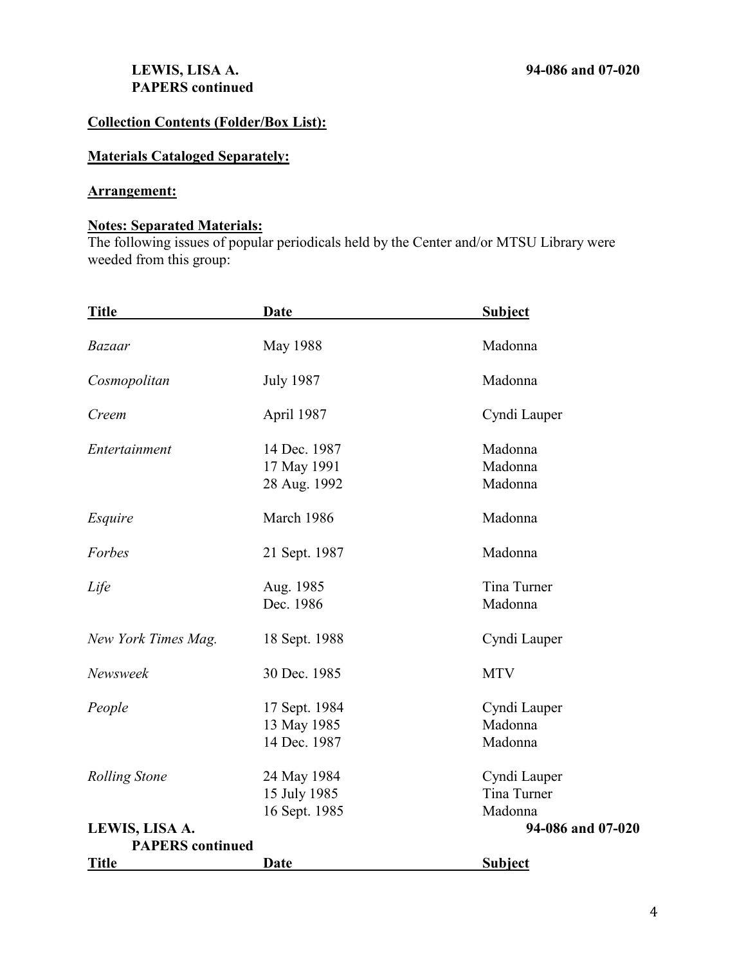# **LEWIS, LISA A. 94-086 and 07-020 PAPERS continued**

# **Collection Contents (Folder/Box List):**

# **Materials Cataloged Separately:**

# **Arrangement:**

#### **Notes: Separated Materials:**

The following issues of popular periodicals held by the Center and/or MTSU Library were weeded from this group:

| <b>Title</b>            | <u>Date</u>                                  | <b>Subject</b>                         |
|-------------------------|----------------------------------------------|----------------------------------------|
| <b>Bazaar</b>           | <b>May 1988</b>                              | Madonna                                |
| Cosmopolitan            | <b>July 1987</b>                             | Madonna                                |
| Creem                   | April 1987                                   | Cyndi Lauper                           |
| Entertainment           | 14 Dec. 1987<br>17 May 1991<br>28 Aug. 1992  | Madonna<br>Madonna<br>Madonna          |
| Esquire                 | March 1986                                   | Madonna                                |
| Forbes                  | 21 Sept. 1987                                | Madonna                                |
| Life                    | Aug. 1985<br>Dec. 1986                       | Tina Turner<br>Madonna                 |
| New York Times Mag.     | 18 Sept. 1988                                | Cyndi Lauper                           |
| Newsweek                | 30 Dec. 1985                                 | <b>MTV</b>                             |
| People                  | 17 Sept. 1984<br>13 May 1985<br>14 Dec. 1987 | Cyndi Lauper<br>Madonna<br>Madonna     |
| <b>Rolling Stone</b>    | 24 May 1984<br>15 July 1985<br>16 Sept. 1985 | Cyndi Lauper<br>Tina Turner<br>Madonna |
| LEWIS, LISA A.          |                                              | 94-086 and 07-020                      |
| <b>PAPERS</b> continued |                                              |                                        |
| <b>Title</b>            | Date                                         | <b>Subject</b>                         |